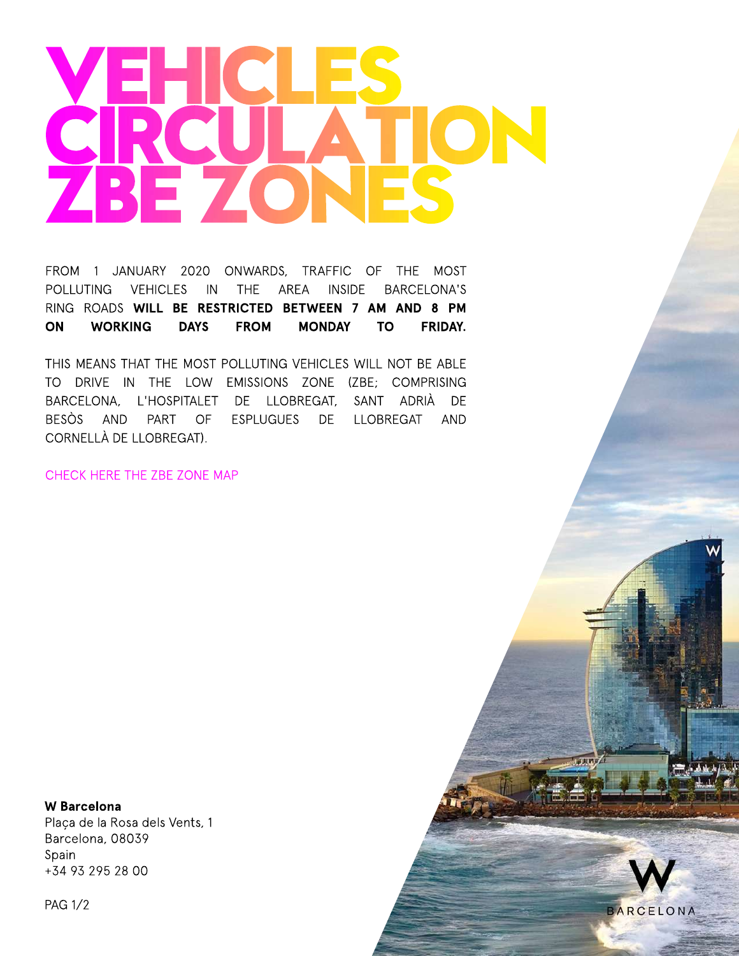## **VEHICLES CIRCULATION ZBEZONES**

FROM 1 JANUARY 2020 ONWARDS, TRAFFIC OF THE MOST POLLUTING VEHICLES IN THE AREA INSIDE BARCELONA'S RING ROADS **WILL BE RESTRICTED BETWEEN 7 AM AND 8 PM ON WORKING DAYS FROM MONDAY TO FRIDAY.**

THIS MEANS THAT THE MOST POLLUTING VEHICLES WILL NOT BE ABLE TO DRIVE IN THE LOW EMISSIONS ZONE (ZBE; COMPRISING BARCELONA, L'HOSPITALET DE LLOBREGAT, SANT ADRIÀ DE BESÒS AND PART OF ESPLUGUES DE LLOBREGAT AND CORNELLÀ DE LLOBREGAT).

### CHECK HERE THE ZBE ZONE MAP

**W Barcelona** Plaça de la Rosa dels Vents, 1 Barcelona, 08039 Spain +34932952800

PAG1/2